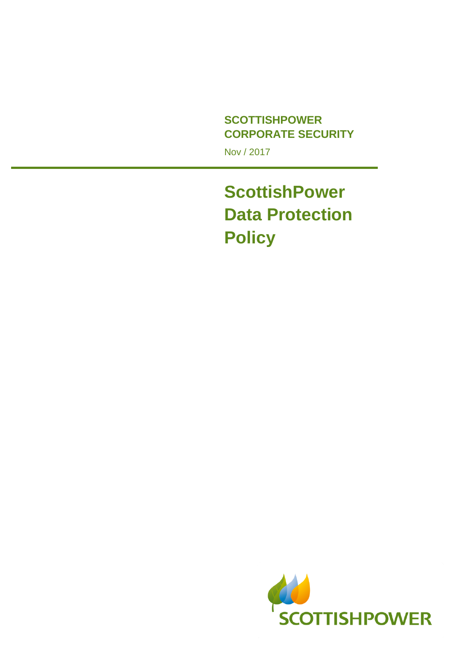**SCOTTISHPOWER CORPORATE SECURITY** Nov / 2017

# **ScottishPower Data Protection Policy**

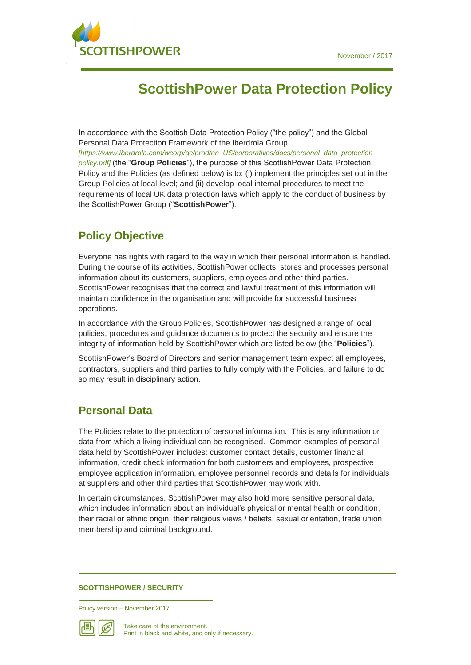

In accordance with the Scottish Data Protection Policy ("the policy") and the Global Personal Data Protection Framework of the Iberdrola Group *[https://www.iberdrola.com/wcorp/gc/prod/en\_US/corporativos/docs/personal\_data\_protection\_ policy.pdf]* (the "**Group Policies**"), the purpose of this ScottishPower Data Protection Policy and the Policies (as defined below) is to: (i) implement the principles set out in the Group Policies at local level; and (ii) develop local internal procedures to meet the requirements of local UK data protection laws which apply to the conduct of business by the ScottishPower Group ("**ScottishPower**").

## **Policy Objective**

Everyone has rights with regard to the way in which their personal information is handled. During the course of its activities, ScottishPower collects, stores and processes personal information about its customers, suppliers, employees and other third parties. ScottishPower recognises that the correct and lawful treatment of this information will maintain confidence in the organisation and will provide for successful business operations.

In accordance with the Group Policies, ScottishPower has designed a range of local policies, procedures and guidance documents to protect the security and ensure the integrity of information held by ScottishPower which are listed below (the "**Policies**").

ScottishPower's Board of Directors and senior management team expect all employees, contractors, suppliers and third parties to fully comply with the Policies, and failure to do so may result in disciplinary action.

### **Personal Data**

The Policies relate to the protection of personal information. This is any information or data from which a living individual can be recognised. Common examples of personal data held by ScottishPower includes: customer contact details, customer financial information, credit check information for both customers and employees, prospective employee application information, employee personnel records and details for individuals at suppliers and other third parties that ScottishPower may work with.

In certain circumstances, ScottishPower may also hold more sensitive personal data, which includes information about an individual's physical or mental health or condition, their racial or ethnic origin, their religious views / beliefs, sexual orientation, trade union membership and criminal background.

#### **SCOTTISHPOWER / SECURITY**

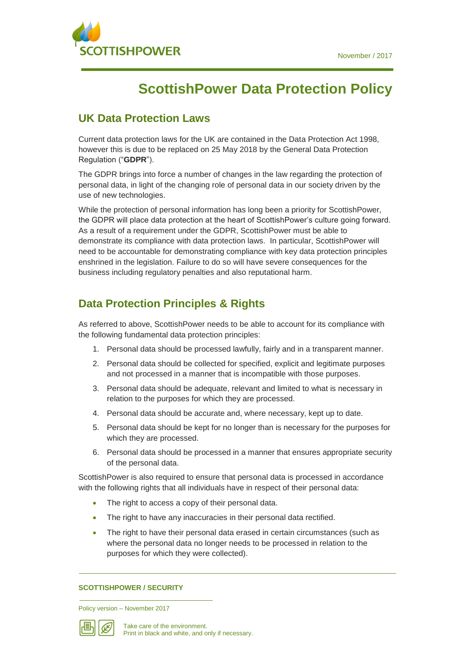

## **UK Data Protection Laws**

Current data protection laws for the UK are contained in the Data Protection Act 1998, however this is due to be replaced on 25 May 2018 by the General Data Protection Regulation ("**GDPR**").

The GDPR brings into force a number of changes in the law regarding the protection of personal data, in light of the changing role of personal data in our society driven by the use of new technologies.

While the protection of personal information has long been a priority for ScottishPower, the GDPR will place data protection at the heart of ScottishPower's culture going forward. As a result of a requirement under the GDPR, ScottishPower must be able to demonstrate its compliance with data protection laws. In particular, ScottishPower will need to be accountable for demonstrating compliance with key data protection principles enshrined in the legislation. Failure to do so will have severe consequences for the business including regulatory penalties and also reputational harm.

### **Data Protection Principles & Rights**

As referred to above, ScottishPower needs to be able to account for its compliance with the following fundamental data protection principles:

- 1. Personal data should be processed lawfully, fairly and in a transparent manner.
- 2. Personal data should be collected for specified, explicit and legitimate purposes and not processed in a manner that is incompatible with those purposes.
- 3. Personal data should be adequate, relevant and limited to what is necessary in relation to the purposes for which they are processed.
- 4. Personal data should be accurate and, where necessary, kept up to date.
- 5. Personal data should be kept for no longer than is necessary for the purposes for which they are processed.
- 6. Personal data should be processed in a manner that ensures appropriate security of the personal data.

ScottishPower is also required to ensure that personal data is processed in accordance with the following rights that all individuals have in respect of their personal data:

- The right to access a copy of their personal data.
- The right to have any inaccuracies in their personal data rectified.
- The right to have their personal data erased in certain circumstances (such as where the personal data no longer needs to be processed in relation to the purposes for which they were collected).

#### **SCOTTISHPOWER / SECURITY**

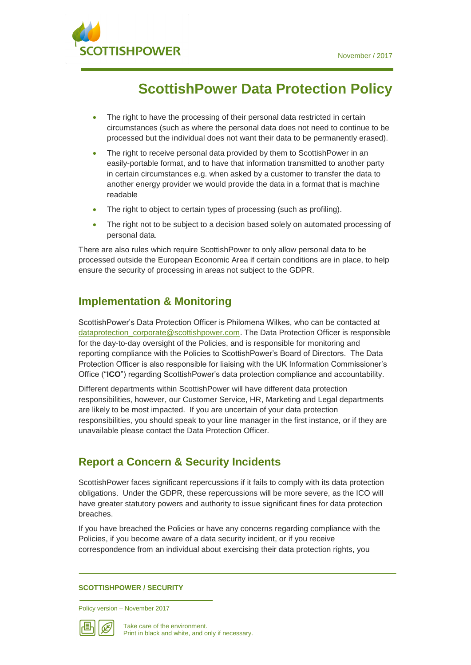

- The right to have the processing of their personal data restricted in certain circumstances (such as where the personal data does not need to continue to be processed but the individual does not want their data to be permanently erased).
- The right to receive personal data provided by them to ScottishPower in an easily-portable format, and to have that information transmitted to another party in certain circumstances e.g. when asked by a customer to transfer the data to another energy provider we would provide the data in a format that is machine readable
- The right to object to certain types of processing (such as profiling).
- The right not to be subject to a decision based solely on automated processing of personal data.

There are also rules which require ScottishPower to only allow personal data to be processed outside the European Economic Area if certain conditions are in place, to help ensure the security of processing in areas not subject to the GDPR.

### **Implementation & Monitoring**

ScottishPower's Data Protection Officer is Philomena Wilkes, who can be contacted at [dataprotection\\_corporate@scottishpower.com.](mailto:dataprotection_corporate@scottishpower.com) The Data Protection Officer is responsible for the day-to-day oversight of the Policies, and is responsible for monitoring and reporting compliance with the Policies to ScottishPower's Board of Directors. The Data Protection Officer is also responsible for liaising with the UK Information Commissioner's Office ("**ICO**") regarding ScottishPower's data protection compliance and accountability.

Different departments within ScottishPower will have different data protection responsibilities, however, our Customer Service, HR, Marketing and Legal departments are likely to be most impacted. If you are uncertain of your data protection responsibilities, you should speak to your line manager in the first instance, or if they are unavailable please contact the Data Protection Officer.

### **Report a Concern & Security Incidents**

ScottishPower faces significant repercussions if it fails to comply with its data protection obligations. Under the GDPR, these repercussions will be more severe, as the ICO will have greater statutory powers and authority to issue significant fines for data protection breaches.

If you have breached the Policies or have any concerns regarding compliance with the Policies, if you become aware of a data security incident, or if you receive correspondence from an individual about exercising their data protection rights, you

#### **SCOTTISHPOWER / SECURITY**